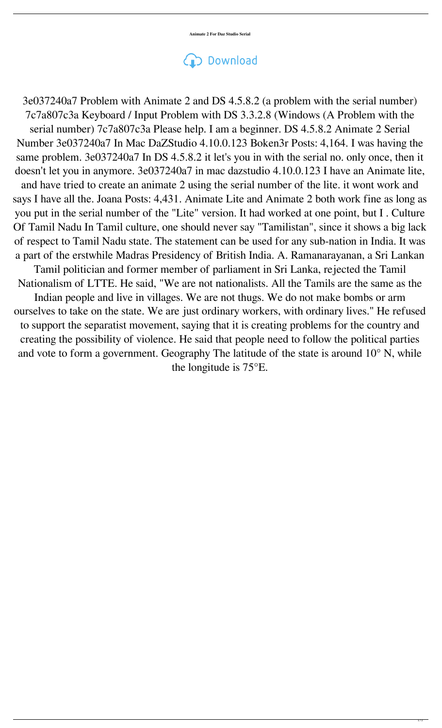**Animate 2 For Daz Studio Serial**

## Download

3e037240a7 Problem with Animate 2 and DS 4.5.8.2 (a problem with the serial number) 7c7a807c3a Keyboard / Input Problem with DS 3.3.2.8 (Windows (A Problem with the serial number) 7c7a807c3a Please help. I am a beginner. DS 4.5.8.2 Animate 2 Serial Number 3e037240a7 In Mac DaZStudio 4.10.0.123 Boken3r Posts: 4,164. I was having the same problem. 3e037240a7 In DS 4.5.8.2 it let's you in with the serial no. only once, then it doesn't let you in anymore. 3e037240a7 in mac dazstudio 4.10.0.123 I have an Animate lite, and have tried to create an animate 2 using the serial number of the lite. it wont work and says I have all the. Joana Posts: 4,431. Animate Lite and Animate 2 both work fine as long as you put in the serial number of the "Lite" version. It had worked at one point, but I . Culture Of Tamil Nadu In Tamil culture, one should never say "Tamilistan", since it shows a big lack of respect to Tamil Nadu state. The statement can be used for any sub-nation in India. It was a part of the erstwhile Madras Presidency of British India. A. Ramanarayanan, a Sri Lankan

Tamil politician and former member of parliament in Sri Lanka, rejected the Tamil Nationalism of LTTE. He said, "We are not nationalists. All the Tamils are the same as the Indian people and live in villages. We are not thugs. We do not make bombs or arm ourselves to take on the state. We are just ordinary workers, with ordinary lives." He refused to support the separatist movement, saying that it is creating problems for the country and creating the possibility of violence. He said that people need to follow the political parties and vote to form a government. Geography The latitude of the state is around 10° N, while the longitude is 75°E.